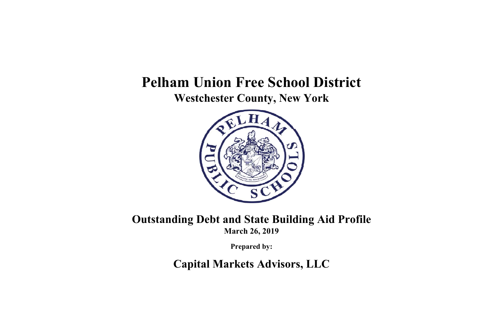# **Pelham Union Free School District Westchester County, New York**



**Outstanding Debt and State Building Aid Profile March 26, 2019**

**Prepared by:**

**Capital Markets Advisors, LLC**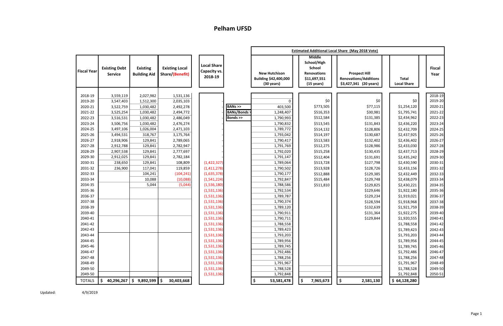|                    |                                        |                                        |                                          |                                               |                   |                                                                       |                                                                                                      | <b>Estimated Additional Local Share (May 2018 Vote)</b>                        |                                    |                       |
|--------------------|----------------------------------------|----------------------------------------|------------------------------------------|-----------------------------------------------|-------------------|-----------------------------------------------------------------------|------------------------------------------------------------------------------------------------------|--------------------------------------------------------------------------------|------------------------------------|-----------------------|
| <b>Fiscal Year</b> | <b>Existing Debt</b><br><b>Service</b> | <b>Existing</b><br><b>Building Aid</b> | <b>Existing Local</b><br>Share/(Benefit) | <b>Local Share</b><br>Capacity vs.<br>2018-19 |                   | <b>New Hutchison</b><br>Building \$42,400,000<br>$(30 \text{ years})$ | <b>Middle</b><br>School/High<br>School<br><b>Renovations</b><br>\$11,697,551<br>$(15 \text{ years})$ | <b>Prospect Hill</b><br><b>Renovations/Additions</b><br>\$3,427,341 (20 years) | <b>Total</b><br><b>Local Share</b> | <b>Fiscal</b><br>Year |
| 2018-19            | 3,559,119                              | 2,027,982                              | 1,531,136                                |                                               |                   |                                                                       |                                                                                                      |                                                                                |                                    | 2018-19               |
| 2019-20            | 3,547,403                              | 1,512,300                              | 2,035,103                                |                                               |                   | $\Omega$                                                              | \$0                                                                                                  | \$0                                                                            | \$0                                | 2019-20               |
| 2020-21            | 3,522,759                              | 1,030,482                              | 2,492,278                                |                                               | BANS              | 403,500                                                               | \$773,505                                                                                            | \$77,115                                                                       | \$1,254,120                        | 2020-21               |
| 2021-22            | 3,525,254                              | 1,030,482                              | 2,494,772                                |                                               | <b>BANs/Bonds</b> | 1,248,407                                                             | \$516,353                                                                                            | \$30,981                                                                       | \$1,795,741                        | 2021-22               |
| 2022-23            | 3,516,531                              | 1,030,482                              | 2,486,049                                |                                               | Bonds >>          | 1,790,993                                                             | \$512,584                                                                                            | \$131,385                                                                      | \$2,434,962                        | 2022-23               |
| 2023-24            | 3,506,756                              | 1,030,482                              | 2,476,274                                |                                               |                   | 1,790,832                                                             | \$513,545                                                                                            | \$131,843                                                                      | \$2,436,220                        | 2023-24               |
| 2024-25            | 3,497,106                              | 1,026,004                              | 2,471,103                                |                                               |                   | 1,789,772                                                             | \$514,132                                                                                            | \$128,806                                                                      | \$2,432,709                        | 2024-25               |
| 2025-26            | 3,494,531                              | 318,767                                | 3,175,764                                |                                               |                   | 1,793,042                                                             | \$514,197                                                                                            | \$130,687                                                                      | \$2,437,925                        | 2025-26               |
| 2026-27            | 2,918,906                              | 129,841                                | 2,789,065                                |                                               |                   | 1,790,417                                                             | \$513,583                                                                                            | \$132,402                                                                      | \$2,436,402                        | 2026-27               |
| 2027-28            | 2,912,788                              | 129,841                                | 2,782,947                                |                                               |                   | 1,791,769                                                             | \$512,275                                                                                            | \$128,986                                                                      | \$2,433,030                        | 2027-28               |
| 2028-29            | 2,907,538                              | 129,841                                | 2,777,697                                |                                               |                   | 1,792,020                                                             | \$515,258                                                                                            | \$130,435                                                                      | \$2,437,713                        | 2028-29               |
| 2029-30            | 2,912,025                              | 129,841                                | 2,782,184                                |                                               |                   | 1,791,147                                                             | \$512,404                                                                                            | \$131,691                                                                      | \$2,435,242                        | 2029-30               |
| 2030-31            | 238,650                                | 129,841                                | 108,809                                  | (1,422,327)                                   |                   | 1,789,064                                                             | \$513,728                                                                                            | \$127,798                                                                      | \$2,430,590                        | 2030-31               |
| 2031-32            | 236,900                                | 117,041                                | 119,859                                  | (1,411,278)                                   |                   | 1,790,502                                                             | \$513,928                                                                                            | \$128,726                                                                      | \$2,433,156                        | 2031-32               |
| 2032-33            |                                        | 104,241                                | (104, 241)                               | (1,635,378)                                   |                   | 1,790,177                                                             | \$512,888                                                                                            | \$129,385                                                                      | \$2,432,449                        | 2032-33               |
| 2033-34            |                                        | 10,088                                 | (10,088)                                 | (1, 541, 224)                                 |                   | 1,792,847                                                             | \$515,484                                                                                            | \$129,748                                                                      | \$2,438,079                        | 2033-34               |
| 2034-35            |                                        | 5,044                                  | (5,044)                                  | (1,536,180)                                   |                   | 1,788,586                                                             | \$511,810                                                                                            | \$129,825                                                                      | \$2,430,221                        | 2034-35               |
| 2035-36            |                                        |                                        |                                          | (1,531,136)                                   |                   | 1,792,534                                                             |                                                                                                      | \$129,646                                                                      | \$1,922,180                        | 2035-36               |
| 2036-37            |                                        |                                        |                                          | (1,531,136)                                   |                   | 1,789,787                                                             |                                                                                                      | \$129,234                                                                      | \$1,919,021                        | 2036-37               |
| 2037-38            |                                        |                                        |                                          | (1,531,136)                                   |                   | 1,790,374                                                             |                                                                                                      | \$128,594                                                                      | \$1,918,968                        | 2037-38               |
| 2038-39            |                                        |                                        |                                          | (1,531,136)                                   |                   | 1,789,120                                                             |                                                                                                      | \$132,639                                                                      | \$1,921,759                        | 2038-39               |
| 2039-40            |                                        |                                        |                                          | (1,531,136)                                   |                   | 1,790,911                                                             |                                                                                                      | \$131,364                                                                      | \$1,922,275                        | 2039-40               |
| 2040-41            |                                        |                                        |                                          | (1,531,136)                                   |                   | 1,790,711                                                             |                                                                                                      | \$129,844                                                                      | \$1,920,555                        | 2040-41               |
| 2041-42            |                                        |                                        |                                          | (1,531,136)                                   |                   | 1,788,558                                                             |                                                                                                      |                                                                                | \$1,788,558                        | 2041-42               |
| 2042-43            |                                        |                                        |                                          | (1,531,136)                                   |                   | 1,789,423                                                             |                                                                                                      |                                                                                | \$1,789,423                        | 2042-43               |
| 2043-44            |                                        |                                        |                                          | (1,531,136)                                   |                   | 1,793,203                                                             |                                                                                                      |                                                                                | \$1,793,203                        | 2043-44               |
| 2044-45            |                                        |                                        |                                          | (1,531,136)                                   |                   | 1,789,956                                                             |                                                                                                      |                                                                                | \$1,789,956                        | 2044-45               |
| 2045-46            |                                        |                                        |                                          | (1,531,136)                                   |                   | 1,789,745                                                             |                                                                                                      |                                                                                | \$1,789,745                        | 2045-46               |
| 2046-47            |                                        |                                        |                                          | (1,531,136)                                   |                   | 1,792,486                                                             |                                                                                                      |                                                                                | \$1,792,486                        | 2046-47               |
| 2047-48            |                                        |                                        |                                          | (1,531,136)                                   |                   | 1,788,256                                                             |                                                                                                      |                                                                                | \$1,788,256                        | 2047-48               |
| 2048-49            |                                        |                                        |                                          | (1,531,136)                                   |                   | 1,791,967                                                             |                                                                                                      |                                                                                | \$1,791,967                        | 2048-49               |
| 2049-50            |                                        |                                        |                                          | (1,531,136)                                   |                   | 1,788,528                                                             |                                                                                                      |                                                                                | \$1,788,528                        | 2049-50               |
| 2049-50            |                                        |                                        |                                          | (1,531,136)                                   |                   | 1,792,848                                                             |                                                                                                      |                                                                                | \$1,792,848                        | 2050-51               |
| <b>TOTALS</b>      | \$<br>40,296,267                       | $$9,892,599$ \$                        | 30,403,668                               |                                               |                   | \$<br>53,581,478                                                      | \$<br>7,965,673                                                                                      | \$<br>2,581,130                                                                | \$64,128,280                       |                       |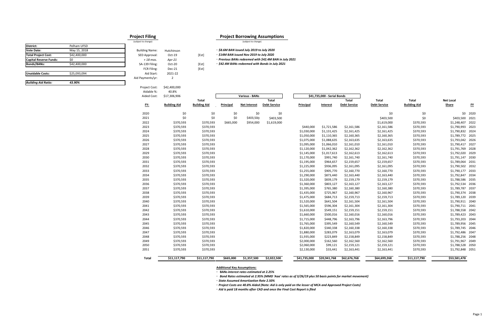### **Project Filing**  (subject to change)

# Building Name: Hutchinson

| SED Approval:    | $Oct-19$ |
|------------------|----------|
| $+18$ mos.       | Apr-21   |
| SA-139 Filing:   | $Oct-20$ |
| FCR Filing:      | Dec-21   |
| Aid Start:       | 2021-22  |
| Aid Payments/vr: | 2        |

| <b>Building Aid Ratio:</b>    | 43.90%       |  |
|-------------------------------|--------------|--|
| <b>Unaidable Costs:</b>       | \$25,093,094 |  |
|                               |              |  |
| <b>Bonds/BANs:</b>            | \$42,400,000 |  |
| <b>Capital Reserve Funds:</b> | \$0          |  |
| <b>Total Project Cost:</b>    | \$42,400,000 |  |
| <b>Vote Date:</b>             | May 15, 2018 |  |
| District:                     | Pelham UFSD  |  |

| Total                      | Total                  | Net Local                  |              |
|----------------------------|------------------------|----------------------------|--------------|
| <b>Debt Service</b>        | <b>Building Aid</b>    | Share                      | FY           |
| \$0                        | \$0                    |                            |              |
| \$403,500                  | \$0                    | \$0<br>\$403,500           | 2020         |
|                            |                        | \$1,248,407                | 2021         |
| \$1,619,000                | \$370,593              |                            | 2022         |
| \$2,161,586                | \$370,593              | \$1,790,993                | 2023<br>2024 |
| \$2,161,425<br>\$2,160,365 | \$370,593<br>\$370,593 | \$1,790,832<br>\$1,789,772 | 2025         |
| \$2,163,635                | \$370,593              | \$1,793,042                | 2026         |
| \$2,161,010                | \$370,593              | \$1,790,417                | 2027         |
| \$2,162,362                | \$370,593              | \$1,791,769                | 2028         |
| \$2,162,613                | \$370,593              | \$1,792,020                | 2029         |
| \$2,161,740                | \$370,593              | \$1,791,147                | 2030         |
| \$2,159,657                | \$370,593              | \$1,789,064                | 2031         |
| \$2,161,095                |                        | \$1,790,502                | 2032         |
| \$2,160,770                | \$370,593<br>\$370,593 | \$1,790,177                | 2033         |
| \$2,163,440                | \$370,593              | \$1,792,847                | 2034         |
| \$2,159,179                | \$370,593              | \$1,788,586                | 2035         |
| \$2,163,127                | \$370,593              | \$1,792,534                | 2036         |
| \$2,160,380                | \$370,593              | \$1,789,787                | 2037         |
| \$2,160,967                | \$370,593              | \$1,790,374                | 2038         |
| \$2,159,713                | \$370,593              | \$1,789,120                | 2039         |
| \$2,161,504                | \$370,593              | \$1,790,911                | 2040         |
| \$2,161,304                | \$370,593              | \$1,790,711                | 2041         |
| \$2,159,151                | \$370,593              | \$1,788,558                | 2042         |
| \$2,160,016                | \$370,593              | \$1,789,423                | 2043         |
| \$2,163,796                | \$370,593              | \$1,793,203                | 2044         |
| \$2,160,549                | \$370,593              | \$1,789,956                | 2045         |
| \$2,160,338                | \$370,593              | \$1,789,745                | 2046         |
| \$2,163,079                | \$370,593              | \$1,792,486                | 2047         |
| \$2,158,849                | \$370,593              | \$1,788,256                | 2048         |
| \$2,162,560                | \$370,593              | \$1,791,967                | 2049         |
| \$2,159,121                | \$370,593              | \$1,788,528                | 2050         |
| \$2,163,441                | \$370,593              | \$1,792,848                | 2051         |
| \$64,699,268               | \$11,117,790           | \$53,581,478               |              |
|                            |                        |                            |              |

#### **Project Borrowing Assumptions** (subject to change)

[Est]

[Est] [Est] **◦** *\$8.6M BAN issued July 2019 to July 2020* **◦** *\$14M BAN issued Nov 2019 to July 2020* **◦** *Previous BANs redeemed with \$42.4M BAN in July 2021* **◦** *\$42.4M BANs redeemed with Bonds in July 2021*

Project Cost: \$42,400,000

| Aidable %:         | 40.8%               |                     |           |                       |                     |              |                             |                     |                     |                     |                  |           |
|--------------------|---------------------|---------------------|-----------|-----------------------|---------------------|--------------|-----------------------------|---------------------|---------------------|---------------------|------------------|-----------|
| <b>Aided Cost:</b> | \$17,306,906        |                     |           | <b>Various - BANs</b> |                     |              | \$41,735,000 - Serial Bonds |                     |                     |                     |                  |           |
|                    |                     | Total               |           |                       | <b>Total</b>        |              |                             | <b>Total</b>        | <b>Total</b>        | Total               | <b>Net Local</b> |           |
| <u>FY:</u>         | <b>Building Aid</b> | <b>Building Aid</b> | Principal | <b>Net Interest</b>   | <b>Debt Service</b> | Principal    | Interest                    | <b>Debt Service</b> | <b>Debt Service</b> | <b>Building Aid</b> | Share            | <u>FY</u> |
| 2020               | \$0                 | \$0                 | \$0       | \$0                   | \$0                 |              |                             |                     | \$0                 | \$0                 | \$0              | 2020      |
| 2021               | \$0                 | \$0                 | \$0       | \$403,500             | \$403,500           |              |                             |                     | \$403,500           | \$0                 | \$403,500        | 2021      |
| 2022               | \$370,593           | \$370,593           | \$665,000 | \$954,000             | \$1,619,000         |              |                             |                     | \$1,619,000         | \$370,593           | \$1,248,407      | 2022      |
| 2023               | \$370,593           | \$370,593           |           |                       |                     | \$440,000    | \$1,721,586                 | \$2,161,586         | \$2,161,586         | \$370,593           | \$1,790,993      | 2023      |
| 2024               | \$370,593           | \$370,593           |           |                       |                     | \$1,030,000  | \$1,131,425                 | \$2,161,425         | \$2,161,425         | \$370,593           | \$1,790,832      | 2024      |
| 2025               | \$370,593           | \$370,593           |           |                       |                     | \$1,050,000  | \$1,110,365                 | \$2,160,365         | \$2,160,365         | \$370,593           | \$1,789,772      | 2025      |
| 2026               | \$370,593           | \$370,593           |           |                       |                     | \$1,075,000  | \$1,088,635                 | \$2,163,635         | \$2,163,635         | \$370,593           | \$1,793,042      | 2026      |
| 2027               | \$370,593           | \$370,593           |           |                       |                     | \$1,095,000  | \$1,066,010                 | \$2,161,010         | \$2,161,010         | \$370,593           | \$1,790,417      | 2027      |
| 2028               | \$370,593           | \$370,593           |           |                       |                     | \$1,120,000  | \$1,042,362                 | \$2,162,362         | \$2,162,362         | \$370,593           | \$1,791,769      | 2028      |
| 2029               | \$370,593           | \$370,593           |           |                       |                     | \$1,145,000  | \$1,017,613                 | \$2,162,613         | \$2,162,613         | \$370,593           | \$1,792,020      | 2029      |
| 2030               | \$370,593           | \$370,593           |           |                       |                     | \$1,170,000  | \$991,740                   | \$2,161,740         | \$2,161,740         | \$370,593           | \$1,791,147      | 2030      |
| 2031               | \$370,593           | \$370,593           |           |                       |                     | \$1,195,000  | \$964,657                   | \$2,159,657         | \$2,159,657         | \$370,593           | \$1,789,064      | 2031      |
| 2032               | \$370,593           | \$370,593           |           |                       |                     | \$1,225,000  | \$936,095                   | \$2,161,095         | \$2,161,095         | \$370,593           | \$1,790,502      | 2032      |
| 2033               | \$370,593           | \$370,593           |           |                       |                     | \$1,255,000  | \$905,770                   | \$2,160,770         | \$2,160,770         | \$370,593           | \$1,790,177      | 2033      |
| 2034               | \$370,593           | \$370,593           |           |                       |                     | \$1,290,000  | \$873,440                   | \$2,163,440         | \$2,163,440         | \$370,593           | \$1,792,847      | 2034      |
| 2035               | \$370,593           | \$370,593           |           |                       |                     | \$1,320,000  | \$839,179                   | \$2,159,179         | \$2,159,179         | \$370,593           | \$1,788,586      | 2035      |
| 2036               | \$370,593           | \$370,593           |           |                       |                     | \$1,360,000  | \$803,127                   | \$2,163,127         | \$2,163,127         | \$370,593           | \$1,792,534      | 2036      |
| 2037               | \$370,593           | \$370,593           |           |                       |                     | \$1,395,000  | \$765,380                   | \$2,160,380         | \$2,160,380         | \$370,593           | \$1,789,787      | 2037      |
| 2038               | \$370,593           | \$370,593           |           |                       |                     | \$1,435,000  | \$725,967                   | \$2,160,967         | \$2,160,967         | \$370,593           | \$1,790,374      | 2038      |
| 2039               | \$370,593           | \$370,593           |           |                       |                     | \$1,475,000  | \$684,713                   | \$2,159,713         | \$2,159,713         | \$370,593           | \$1,789,120      | 2039      |
| 2040               | \$370,593           | \$370,593           |           |                       |                     | \$1,520,000  | \$641,504                   | \$2,161,504         | \$2,161,504         | \$370,593           | \$1,790,911 2040 |           |
| 2041               | \$370,593           | \$370,593           |           |                       |                     | \$1,565,000  | \$596,304                   | \$2,161,304         | \$2,161,304         | \$370,593           | \$1,790,711 2041 |           |
| 2042               | \$370,593           | \$370,593           |           |                       |                     | \$1,610,000  | \$549,151                   | \$2,159,151         | \$2,159,151         | \$370,593           | \$1,788,558      | 2042      |
| 2043               | \$370,593           | \$370,593           |           |                       |                     | \$1,660,000  | \$500,016                   | \$2,160,016         | \$2,160,016         | \$370,593           | \$1,789,423      | 2043      |
| 2044               | \$370,593           | \$370,593           |           |                       |                     | \$1,715,000  | \$448,796                   | \$2,163,796         | \$2,163,796         | \$370,593           | \$1,793,203      | 2044      |
| 2045               | \$370,593           | \$370,593           |           |                       |                     | \$1,765,000  | \$395,549                   | \$2,160,549         | \$2,160,549         | \$370,593           | \$1,789,956      | 2045      |
| 2046               | \$370,593           | \$370,593           |           |                       |                     | \$1,820,000  | \$340,338                   | \$2,160,338         | \$2,160,338         | \$370,593           | \$1,789,745      | 2046      |
| 2047               | \$370,593           | \$370,593           |           |                       |                     | \$1,880,000  | \$283,079                   | \$2,163,079         | \$2,163,079         | \$370,593           | \$1,792,486      | 2047      |
| 2048               | \$370,593           | \$370,593           |           |                       |                     | \$1,935,000  | \$223,849                   | \$2,158,849         | \$2,158,849         | \$370,593           | \$1,788,256      | 2048      |
| 2049               | \$370,593           | \$370,593           |           |                       |                     | \$2,000,000  | \$162,560                   | \$2,162,560         | \$2,162,560         | \$370,593           | \$1,791,967      | 2049      |
| 2050               | \$370,593           | \$370,593           |           |                       |                     | \$2,060,000  | \$99,121                    | \$2,159,121         | \$2,159,121         | \$370,593           | \$1,788,528      | 2050      |
| 2051               | \$370,593           | \$370,593           |           |                       |                     | \$2,130,000  | \$33,441                    | \$2,163,441         | \$2,163,441         | \$370,593           | \$1,792,848      | 2051      |
| Total              | \$11,117,790        | \$11,117,790        | \$665,000 | \$1,357,500           | \$2,022,500         | \$41,735,000 | \$20,941,768                | \$62,676,768        | \$64,699,268        | \$11,117,790        | \$53,581,478     |           |

#### **Additional Key Assumptions:**

**◦ BANs** *interest rates estimated at 2.25%*

**◦** *Bond Rates estimated at 2.95% (MMD 'Aaa' rates as of 3/26/19 plus 50 basis points for market movement)*

**◦** *State Assumed Amortization Rate 2.50%* 

**◦** *Project Costs are 40.8% Aided (Note: Aid is only paid on the lesser of MCA and Approved Project Costs)*

**◦** *Aid is paid 18 months after CAD and once the Final Cost Report is filed*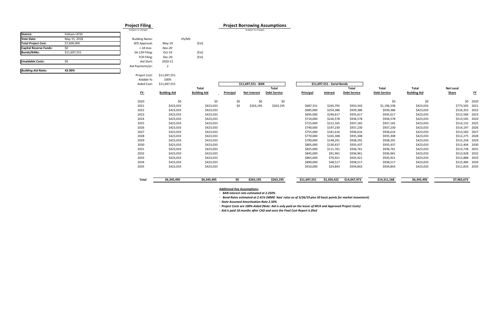## **Project Filing Project Borrowing Assumptions**

Building Name: HS/MS SED Approval: May-19 [Est] *+ 18 mos. Nov‐20* SA-139 Filing: Oct-19 [Est] FCR Filing: Dec-20 [Est] Aid Start: 2020‐21 Aid Payments/yr: 2

| District:                     | Pelham UFSD  |  |
|-------------------------------|--------------|--|
| <b>Vote Date:</b>             | May 15, 2018 |  |
| <b>Total Project Cost:</b>    | \$7,600,000  |  |
| <b>Capital Reserve Funds:</b> | \$0          |  |
| Bonds/BANs:                   | \$11,697,551 |  |
|                               |              |  |
| <b>Unaidable Costs:</b>       | \$0          |  |
| <b>Building Aid Ratio:</b>    | 43.90%       |  |
|                               |              |  |

| . .                   |       | --                  |
|-----------------------|-------|---------------------|
| (subject to change)   |       | (subject to change) |
|                       |       |                     |
|                       |       |                     |
| <b>Building Name:</b> | HS/MS |                     |

#### Project Cost: \$11,697,551 Aidable %:100%

| Aluabic 70. | <b>10070</b>        |                     |           |                     |                     |              |                             |                     |                     |                     |                  |           |
|-------------|---------------------|---------------------|-----------|---------------------|---------------------|--------------|-----------------------------|---------------------|---------------------|---------------------|------------------|-----------|
| Aided Cost: | \$11,697,551        |                     |           | \$11,697,551 - BAN  |                     |              | \$11,697,551 - Serial Bonds |                     |                     |                     |                  |           |
|             |                     | Total               |           |                     | <b>Total</b>        |              |                             | <b>Total</b>        | Total               | <b>Total</b>        | <b>Net Local</b> |           |
| <u>FY:</u>  | <b>Building Aid</b> | <b>Building Aid</b> | Principal | <b>Net Interest</b> | <b>Debt Service</b> | Principal    | Interest                    | <b>Debt Service</b> | <b>Debt Service</b> | <b>Building Aid</b> | Share            | <u>FY</u> |
| 2020        | \$0                 | \$0                 | \$0       | \$0                 | \$0                 |              |                             |                     | \$0                 | \$0                 | \$0              | 2020      |
| 2021        | \$423,033           | \$423,033           | \$0       | \$263,195           | \$263,195           | \$687,551    | \$245,792                   | \$933,343           | \$1,196,538         | \$423,033           | \$773,505        | 2021      |
| 2022        | \$423,033           | \$423,033           |           |                     |                     | \$685,000    | \$254,386                   | \$939,386           | \$939,386           | \$423,033           | \$516,353        | 2022      |
| 2023        | \$423,033           | \$423,033           |           |                     |                     | \$695,000    | \$240,617                   | \$935,617           | \$935,617           | \$423,033           | \$512,584        | 2023      |
| 2024        | \$423,033           | \$423,033           |           |                     |                     | \$710,000    | \$226,578                   | \$936,578           | \$936,578           | \$423,033           | \$513,545        | 2024      |
| 2025        | \$423,033           | \$423,033           |           |                     |                     | \$725,000    | \$212,165                   | \$937,165           | \$937,165           | \$423,033           | \$514,132 2025   |           |
| 2026        | \$423,033           | \$423,033           |           |                     |                     | \$740,000    | \$197,230                   | \$937,230           | \$937,230           | \$423,033           | \$514,197        | 2026      |
| 2027        | \$423,033           | \$423,033           |           |                     |                     | \$755,000    | \$181,616                   | \$936,616           | \$936,616           | \$423,033           | \$513,583        | 2027      |
| 2028        | \$423,033           | \$423,033           |           |                     |                     | \$770,000    | \$165,308                   | \$935,308           | \$935,308           | \$423,033           | \$512,275        | 2028      |
| 2029        | \$423,033           | \$423,033           |           |                     |                     | \$790,000    | \$148,291                   | \$938,291           | \$938,291           | \$423,033           | \$515,258        | 2029      |
| 2030        | \$423,033           | \$423,033           |           |                     |                     | \$805,000    | \$130,437                   | \$935,437           | \$935,437           | \$423,033           | \$512,404        | 2030      |
| 2031        | \$423,033           | \$423,033           |           |                     |                     | \$825,000    | \$111,761                   | \$936,761           | \$936,761           | \$423,033           | \$513,728        | 2031      |
| 2032        | \$423,033           | \$423,033           |           |                     |                     | \$845,000    | \$91,961                    | \$936,961           | \$936,961           | \$423,033           | \$513,928        | 2032      |
| 2033        | \$423,033           | \$423,033           |           |                     |                     | \$865,000    | \$70,921                    | \$935,921           | \$935,921           | \$423,033           | \$512,888        | 2033      |
| 2034        | \$423,033           | \$423,033           |           |                     |                     | \$890,000    | \$48,517                    | \$938,517           | \$938,517           | \$423,033           | \$515,484        | 2034      |
| 2035        | \$423,033           | \$423,033           |           |                     |                     | \$910,000    | \$24,843                    | \$934,843           | \$934,843           | \$423,033           | \$511,810        | 2035      |
| Total       | \$6,345,495         | \$6,345,495         | \$0       | \$263,195           | \$263,195           | \$11,697,551 | \$2,350,422                 | \$14,047,973        | \$14,311,168        | \$6,345,495         | \$7,965,673      |           |

**Additional Key Assumptions:**

**◦** *BAN interest rate estimated at 2.250%*

**◦** *Bond Rates estimated at 2.41% (MMD 'Aaa' rates as of 3/26/19 plus 50 basis points for market movement)*

**◦** *State Assumed Amortization Rate 2.50%* 

**◦** *Project Costs are 100% Aided (Note: Aid is only paid on the lesser of MCA and Approved Project Costs)*

**◦** *Aid is paid 18 months after CAD and once the Final Cost Report is filed*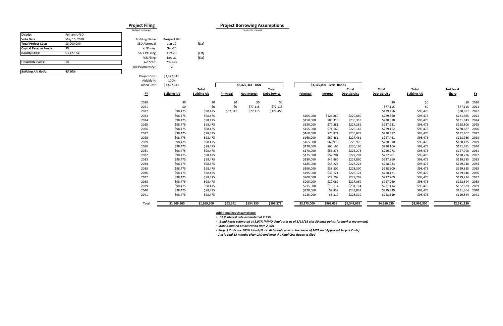### **Project Filing Project Borrowing Assumptions** (subject to change) (subject to change) (subject to change)

#### **District:** Pelham UFSD **Vote Date:** May 15, 2018 **Total Project Cost:** \$3,000,000 **Capital Reserve Funds:** \$0 **Bonds/BANs:** \$3,427,341 **Unaidable Costs:** $$0$ *Building Aid Ratio: 43.90%*

Building Name: Prospect Hill SED Approval: Jun-19 [Est] *+ 18 mos. Dec‐20* SA-139 Filing: Oct-20 [Est] FCR Filing: Dec-21 [Est] Aid Start: 2021‐22Aid Payments/yr: 2

**FY**

2020

2021

2022

2023

2024

2025

2026

Project Cost: \$3,427,341 Aidable %: 100%Aided Cost: \$3,427,341 **\$3,427,341 ‐ BAN \$3,375,000 ‐ Serial Bonds Total Total Total Total Total Net Local Building Aid Building Aid Principal Net Interest Debt Service Principal Interest Debt Service Debt Service Building Aid Share FY** \$0 \$0 \$0 \$0 \$0 \$0 \$0 \$0 2020 \$0 \$17,115 \$0 \$17,115 \$77,115 \$77,115 \$77,115 \$77,115 \$17,115 \$17,115 \$0 \$77,115 \$0 \$77,115 \$17,115 \$98,475 \$98,475 \$52,341 \$77,115 \$129,456 \$129,456 \$98,475 \$30,981 2022 3 \$98,475 \$98,475 \$105,000 \$124,860 \$229,860 \$98,475 \$131,385 2023 4 \$98,475 \$98,475 \$150,000 \$80,318 \$230,318 \$98,475 \$131,843 2024 \$98,475 \$98,475 \$150,000 \$77,281 \$227,281 \$227,281 \$98,475 \$128,806 2025 \$98,475 \$98,475 \$155,000 \$74,162 \$229,162 \$229,162 \$98,475 \$130,687 2026 \$98,475 \$98,475 \$160,000 \$70,877 \$230,877 \$230,877 \$98,475 \$132,402 2027 8 \$98,475 \$98,475 \$160,000 \$67,461 \$227,461 \$98,475 \$128,986 2028 \$98,475 \$98,475 \$165,000 \$63,910 \$228,910 \$228,910 \$98,475 \$130,435 2029 0 \$98,475 \$98,475 \$170,000 \$60,166 \$230,166 \$230,166 \$98,475 \$131,691 2030 \$98,475 \$98,475 \$170,000 \$56,273 \$226,273 \$226,273 \$98,475 \$127,798 2031 \$98,475 \$98,475 \$175,000 \$52,201 \$227,201 \$227,201 \$98,475 \$128,726 2032 3 \$98,475 \$98,475 \$180,000 \$47,860 \$227,860 \$98,475 \$129,385 2033 4 \$98,475 \$98,475 \$185,000 \$43,223 \$228,223 \$98,475 \$129,748 2034 \$98,475 \$98,475 \$190,000 \$38,300 \$228,300 \$228,300 \$98,475 \$129,825 2035

2027

2028

2029

2030

2031

2032

2033

2034

2035

2036

2037

2038

| <b>700, 170</b> | <b>700, 170</b> | 710,000   | 700,±00  | 7230,200  | 7230,200  | <b>700, 170</b> | YAJA, JJ LUJU  |  |
|-----------------|-----------------|-----------|----------|-----------|-----------|-----------------|----------------|--|
| \$98,475        | \$98,475        | \$170,000 | \$56,273 | \$226,273 | \$226,273 | \$98,475        | \$127,798 2031 |  |
| \$98,475        | \$98,475        | \$175,000 | \$52,201 | \$227,201 | \$227,201 | \$98,475        | \$128,726 2032 |  |
| \$98,475        | \$98,475        | \$180,000 | \$47,860 | \$227,860 | \$227,860 | \$98,475        | \$129,385 2033 |  |
| \$98,475        | \$98,475        | \$185,000 | \$43,223 | \$228,223 | \$228,223 | \$98,475        | \$129,748 2034 |  |
| \$98,475        | \$98,475        | \$190,000 | \$38,300 | \$228,300 | \$228,300 | \$98,475        | \$129,825 2035 |  |
| \$98,475        | \$98,475        | \$195,000 | \$33,121 | \$228,121 | \$228,121 | \$98,475        | \$129,646 2036 |  |
| \$98,475        | \$98,475        | \$200,000 | \$27,709 | \$227,709 | \$227,709 | \$98,475        | \$129,234 2037 |  |
| \$98,475        | \$98,475        | \$205,000 | \$22,069 | \$227,069 | \$227,069 | \$98,475        | \$128,594 2038 |  |
| \$98,475        | \$98,475        | \$215,000 | \$16,114 | \$231,114 | \$231,114 | \$98,475        | \$132,639 2039 |  |
| \$98,475        | \$98,475        | \$220,000 | \$9,839  | \$229,839 | \$229,839 | \$98,475        | \$131,364 2040 |  |
| \$98,475        | \$98,475        | \$225,000 | \$3,319  | \$228,319 | \$228,319 | \$98,475        | \$129,844 2041 |  |

2039

2040

2041

**Total**

|                     | τυιαι               |           |                     | πυιαι               |             |                 | τυιαι               | πυιαι               | ιυιαι               | ivet Lucai  |           |
|---------------------|---------------------|-----------|---------------------|---------------------|-------------|-----------------|---------------------|---------------------|---------------------|-------------|-----------|
| <b>Building Aid</b> | <b>Building Aid</b> | Principal | <b>Net Interest</b> | <b>Debt Service</b> | Principal   | <b>Interest</b> | <b>Debt Service</b> | <b>Debt Service</b> | <b>Building Aid</b> | Share       | <u>FY</u> |
| \$0                 | \$0                 | \$0       | \$0                 | \$0                 |             |                 |                     | \$0                 | \$0                 | \$0         | 2020      |
| \$0                 | \$0                 | \$0       | \$77,115            | \$77,115            |             |                 |                     | \$77,115            | \$0                 | \$77,115    | 2021      |
| \$98,475            | \$98,475            | \$52,341  | \$77,115            | \$129,456           |             |                 |                     | \$129,456           | \$98,475            | \$30,981    | 2022      |
| \$98,475            | \$98,475            |           |                     |                     | \$105,000   | \$124,860       | \$229,860           | \$229,860           | \$98,475            | \$131,385   | 2023      |
| \$98,475            | \$98,475            |           |                     |                     | \$150,000   | \$80,318        | \$230,318           | \$230,318           | \$98,475            | \$131,843   | 2024      |
| \$98,475            | \$98,475            |           |                     |                     | \$150,000   | \$77,281        | \$227,281           | \$227,281           | \$98,475            | \$128,806   | 2025      |
| \$98,475            | \$98,475            |           |                     |                     | \$155,000   | \$74,162        | \$229,162           | \$229,162           | \$98,475            | \$130,687   | 2026      |
| \$98,475            | \$98,475            |           |                     |                     | \$160,000   | \$70,877        | \$230,877           | \$230,877           | \$98,475            | \$132,402   | 2027      |
| \$98,475            | \$98,475            |           |                     |                     | \$160,000   | \$67,461        | \$227,461           | \$227,461           | \$98,475            | \$128,986   | 2028      |
| \$98,475            | \$98,475            |           |                     |                     | \$165,000   | \$63,910        | \$228,910           | \$228,910           | \$98,475            | \$130,435   | 2029      |
| \$98,475            | \$98,475            |           |                     |                     | \$170,000   | \$60,166        | \$230,166           | \$230,166           | \$98,475            | \$131,691   | 2030      |
| \$98,475            | \$98,475            |           |                     |                     | \$170,000   | \$56,273        | \$226,273           | \$226,273           | \$98,475            | \$127,798   | 2031      |
| \$98,475            | \$98,475            |           |                     |                     | \$175,000   | \$52,201        | \$227,201           | \$227,201           | \$98,475            | \$128,726   | 2032      |
| \$98,475            | \$98,475            |           |                     |                     | \$180,000   | \$47,860        | \$227,860           | \$227,860           | \$98,475            | \$129,385   | 2033      |
| \$98,475            | \$98,475            |           |                     |                     | \$185,000   | \$43,223        | \$228,223           | \$228,223           | \$98,475            | \$129,748   | 2034      |
| \$98,475            | \$98,475            |           |                     |                     | \$190,000   | \$38,300        | \$228,300           | \$228,300           | \$98,475            | \$129,825   | 2035      |
| \$98,475            | \$98,475            |           |                     |                     | \$195,000   | \$33,121        | \$228,121           | \$228,121           | \$98,475            | \$129,646   | 2036      |
| \$98,475            | \$98,475            |           |                     |                     | \$200,000   | \$27,709        | \$227,709           | \$227,709           | \$98,475            | \$129,234   | 2037      |
| \$98,475            | \$98,475            |           |                     |                     | \$205,000   | \$22,069        | \$227,069           | \$227,069           | \$98,475            | \$128,594   | 2038      |
| \$98,475            | \$98,475            |           |                     |                     | \$215,000   | \$16,114        | \$231,114           | \$231,114           | \$98,475            | \$132,639   | 2039      |
| \$98,475            | \$98,475            |           |                     |                     | \$220,000   | \$9,839         | \$229,839           | \$229,839           | \$98,475            | \$131,364   | 2040      |
| \$98,475            | \$98,475            |           |                     |                     | \$225,000   | \$3,319         | \$228,319           | \$228,319           | \$98,475            | \$129,844   | 2041      |
| \$1,969,500         | \$1,969,500         | \$52,341  | \$154,230           | \$206,571           | \$3,375,000 | \$969,059       | \$4,344,059         | \$4,550,630         | \$1,969,500         | \$2,581,130 |           |

**Additional Key Assumptions:**

**◦** *BAN interest rate estimated at 2.25%*

**◦** *Bond Rates estimated at 3.07% (MMD 'Aaa' rates as of 3/19/18 plus 50 basis points for market movement)*

**◦** *State Assumed Amortization Rate 2.50%* 

**◦** *Project Costs are 100% Aided (Note: Aid is only paid on the lesser of MCA and Approved Project Costs)*

**◦** *Aid is paid 18 months after CAD and once the Final Cost Report is filed*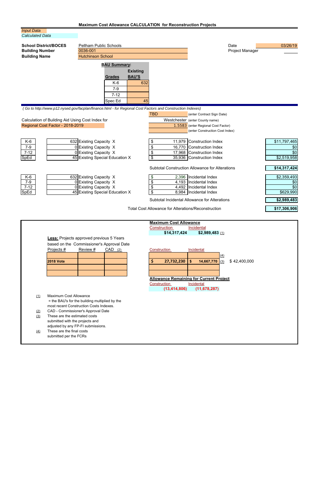# **Maximum Cost Allowance CALCULATION for Reconstruction Projects**

### *Input Data Calculated Data*

| <b>School District/BOCES</b><br><b>Building Number</b><br><b>Building Name</b>                                             | <b>Pellham Public Schools</b><br>0036-001<br><b>Hutchinson School</b>                                                                                                                                                      |                                                                          | Date<br><b>Project Manager</b>                                                                                                                                                                                                                | 03/26/19                                                                          |
|----------------------------------------------------------------------------------------------------------------------------|----------------------------------------------------------------------------------------------------------------------------------------------------------------------------------------------------------------------------|--------------------------------------------------------------------------|-----------------------------------------------------------------------------------------------------------------------------------------------------------------------------------------------------------------------------------------------|-----------------------------------------------------------------------------------|
|                                                                                                                            | <b>BAU Summary:</b>                                                                                                                                                                                                        |                                                                          |                                                                                                                                                                                                                                               |                                                                                   |
|                                                                                                                            |                                                                                                                                                                                                                            | <b>Existing</b>                                                          |                                                                                                                                                                                                                                               |                                                                                   |
|                                                                                                                            | <b>Grades</b>                                                                                                                                                                                                              | <b>BAU'S</b>                                                             |                                                                                                                                                                                                                                               |                                                                                   |
|                                                                                                                            | $K-6$                                                                                                                                                                                                                      | 632                                                                      |                                                                                                                                                                                                                                               |                                                                                   |
|                                                                                                                            | $7 - 9$                                                                                                                                                                                                                    |                                                                          |                                                                                                                                                                                                                                               |                                                                                   |
|                                                                                                                            | $7 - 12$                                                                                                                                                                                                                   |                                                                          |                                                                                                                                                                                                                                               |                                                                                   |
|                                                                                                                            | Spec Ed                                                                                                                                                                                                                    | 45                                                                       |                                                                                                                                                                                                                                               |                                                                                   |
| Calculation of Building Aid Using Cost Index for<br>Regional Cost Factor - 2018-2019<br>K-6<br>$7 - 9$<br>$7 - 12$<br>SpEd | (Go to http://www.p12.nysed.gov/facplan/finance.html - for Regional Cost Factors and Construction Indexes)<br>632 Existing Capacity X<br>0 Existing Capacity X<br>0 Existing Capacity X<br>45 Existing Special Education X | <b>TBD</b><br>11,979<br>\$<br>\$<br>16,770<br>\$<br>$\overline{\$}$      | (enter Contract Sign Date)<br>Westchester (enter County name)<br>1.5583 (enter Regional Cost Factor)<br>(enter Construction Cost Index)<br>Construction Index<br>Construction Index<br>17,968 Construction Index<br>35,936 Construction Index | \$11,797,465<br>\$0<br>\$0<br>\$2,519,958                                         |
| K-6<br>$7 - 9$<br>$7 - 12$<br>SpEd                                                                                         | 632 Existing Capacity X<br>0 Existing Capacity X<br>$\overline{0}$ Existing Capacity X<br>45 Existing Special Education X                                                                                                  | \$<br>$\overline{\boldsymbol{\theta}}$<br>\$<br>$\overline{\mathcal{S}}$ | <b>Subtotal Construction Allowance for Alterations</b><br>2,396 Incidental Index<br>4,193   Incidental Index<br>4,492   Incidental Index<br>8,984   Incidental Index<br>Subtotal Incidental Allowance for Alterations                         | \$14,317,424<br>\$2,359,493<br>\$0<br>$\overline{30}$<br>\$629,990<br>\$2,989,483 |

Total Cost Allowance for Alterations/Reconstruction

**\$17,306,906**

|     |                                                 |          |           | <b>Maximum Cost Allowance</b> |                                                |     |              |  |  |
|-----|-------------------------------------------------|----------|-----------|-------------------------------|------------------------------------------------|-----|--------------|--|--|
|     |                                                 |          |           | Construction                  | Incidental                                     |     |              |  |  |
|     |                                                 |          |           | \$14,317,424                  | $$2,989,483$ (1)                               |     |              |  |  |
|     | <b>Less:</b> Projects approved previous 5 Years |          |           |                               |                                                |     |              |  |  |
|     | based on the Commissioner's Approval Date       |          |           |                               |                                                |     |              |  |  |
|     | Projects #                                      | Review # | $CAD$ (2) | Construction                  | Incidental                                     |     |              |  |  |
|     |                                                 |          |           |                               |                                                | (4) |              |  |  |
|     | <b>2018 Vote</b>                                |          |           | \$<br>27,732,230              | 14,667,770<br>\$                               | (3) | \$42,400,000 |  |  |
|     |                                                 |          |           |                               |                                                |     |              |  |  |
|     |                                                 |          |           |                               |                                                |     |              |  |  |
|     |                                                 |          |           |                               | <b>Allowance Remaining for Current Project</b> |     |              |  |  |
|     |                                                 |          |           | Construction                  | Incidental                                     |     |              |  |  |
|     |                                                 |          |           | (13, 414, 806)                | (11, 678, 287)                                 |     |              |  |  |
| (1) | Maximum Cost Allowance                          |          |           |                               |                                                |     |              |  |  |
|     | = the BAU's for the building multiplied by the  |          |           |                               |                                                |     |              |  |  |
|     | most recent Construction Costs Indexes.         |          |           |                               |                                                |     |              |  |  |
| (2) | CAD - Commissioner's Approval Date              |          |           |                               |                                                |     |              |  |  |
| (3) | These are the estimated costs                   |          |           |                               |                                                |     |              |  |  |
|     | submitted with the projects and                 |          |           |                               |                                                |     |              |  |  |
|     | adjusted by any FP-FI submissions.              |          |           |                               |                                                |     |              |  |  |
| (4) | These are the final costs                       |          |           |                               |                                                |     |              |  |  |
|     | submitted per the FCRs                          |          |           |                               |                                                |     |              |  |  |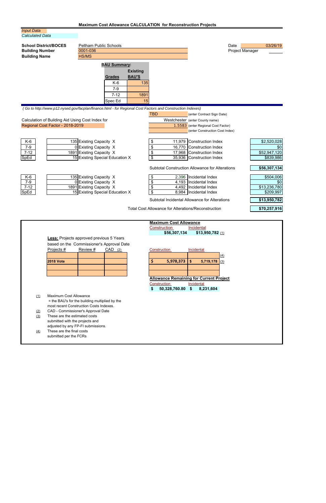# **Maximum Cost Allowance CALCULATION for Reconstruction Projects**

### *Input Data Calculated Data*

| <b>School District/BOCES</b><br><b>Building Number</b><br><b>Building Name</b>       | <b>Pellham Public Schools</b><br>0001-036<br>HS/MS<br><b>BAU Summary:</b><br><b>Existing</b><br><b>BAU'S</b><br><b>Grades</b><br>$K-6$<br>$7 - 9$<br>$7 - 12$ | 135<br>1891<br>15                                          | Date<br><b>Project Manager</b>                                                                                                                                                                                        | 03/26/19                                                                      |
|--------------------------------------------------------------------------------------|---------------------------------------------------------------------------------------------------------------------------------------------------------------|------------------------------------------------------------|-----------------------------------------------------------------------------------------------------------------------------------------------------------------------------------------------------------------------|-------------------------------------------------------------------------------|
| Calculation of Building Aid Using Cost Index for<br>Regional Cost Factor - 2018-2019 | Spec Ed<br>(Go to http://www.p12.nysed.gov/facplan/finance.html - for Regional Cost Factors and Construction Indexes)                                         | <b>TBD</b>                                                 | (enter Contract Sign Date)<br>Westchester (enter County name)<br>1.5583 (enter Regional Cost Factor)                                                                                                                  |                                                                               |
| K-6<br>$7 - 9$<br>$7 - 12$<br>SpEd                                                   | 135 Existing Capacity X<br>0 Existing Capacity X<br>1891 Existing Capacity X<br>15 Existing Special Education X                                               | \$<br>11,979<br>\$<br>16,770<br>\$<br>$\overline{\$}$      | (enter Construction Cost Index)<br>Construction Index<br>Construction Index<br>17,968 Construction Index<br>35,936 Construction Index                                                                                 | \$2,520,028<br>\$0<br>\$52,947,120<br>\$839,986                               |
| K-6<br>$7 - 9$<br>$7 - 12$<br>SpEd                                                   | 135 Existing Capacity X<br>0 Existing Capacity X<br>1891 Existing Capacity X<br>15 Existing Special Education X                                               | \$<br>$\overline{\$}$<br>\$<br>\$                          | <b>Subtotal Construction Allowance for Alterations</b><br>2,396 Incidental Index<br>4,193   Incidental Index<br>4,492   Incidental Index<br>8,984   Incidental Index<br>Subtotal Incidental Allowance for Alterations | \$56,307,134<br>\$504,006<br>\$0<br>\$13,236,780<br>\$209,997<br>\$13,950,782 |
|                                                                                      |                                                                                                                                                               | <b>Total Cost Allowance for Alterations/Reconstruction</b> |                                                                                                                                                                                                                       | \$70,257,916                                                                  |

|     |                                                 |          |                                           | <b>Maximum Cost Allowance</b>                  |                        |
|-----|-------------------------------------------------|----------|-------------------------------------------|------------------------------------------------|------------------------|
|     |                                                 |          |                                           | Construction                                   | Incidental             |
|     |                                                 |          |                                           | \$56,307,134                                   | $$13,950,782$ (1)      |
|     | <b>Less:</b> Projects approved previous 5 Years |          |                                           |                                                |                        |
|     |                                                 |          | based on the Commissioner's Approval Date |                                                |                        |
|     | Projects #                                      | Review # | $CAD$ (2)                                 | Construction                                   | Incidental             |
|     |                                                 |          |                                           |                                                |                        |
|     | <b>2018 Vote</b>                                |          |                                           | \$<br>5,978,373                                | \$<br>5,719,178<br>(3) |
|     |                                                 |          |                                           |                                                |                        |
|     |                                                 |          |                                           |                                                |                        |
|     |                                                 |          |                                           | <b>Allowance Remaining for Current Project</b> |                        |
|     |                                                 |          |                                           | Construction                                   | Incidental             |
|     |                                                 |          |                                           | \$<br>50,328,760.80 \$                         | 8,231,604              |
| (1) | Maximum Cost Allowance                          |          |                                           |                                                |                        |
|     | = the BAU's for the building multiplied by the  |          |                                           |                                                |                        |
|     | most recent Construction Costs Indexes.         |          |                                           |                                                |                        |
| (2) | CAD - Commissioner's Approval Date              |          |                                           |                                                |                        |
| (3) | These are the estimated costs                   |          |                                           |                                                |                        |
|     | submitted with the projects and                 |          |                                           |                                                |                        |
|     | adjusted by any FP-FI submissions.              |          |                                           |                                                |                        |
| (4) | These are the final costs                       |          |                                           |                                                |                        |
|     | submitted per the FCRs                          |          |                                           |                                                |                        |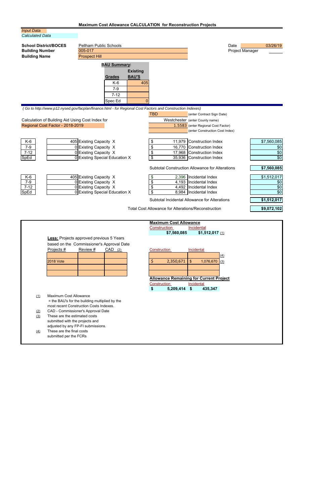## **Maximum Cost Allowance CALCULATION for Reconstruction Projects**

#### *Input Data Calculated Data*  **School District/BOCES** Pellham Public Schools **Date 19th Public Schools** Date 03/26/19 **Building Number Building Name** 005-017 Project Manager Prospect Hill **BAU Summary: Existing Grades BAU'S**  $K-6$   $405$ 7-9 7-12 Spec Ed 0  *( Go to<http://www.p12.nysed.gov/facplan/finance.html>- for Regional Cost Factors and Construction Indexes)*  Calculation of Building Aid Using Cost Index for Regional Cost Factor - 2018-2019 K-6 7-9 7-12 SpEd K-6 7-9 7-12 SpEd 405 Existing Capacity X 0 Existing Capacity X 0 Existing Capacity X 0 Existing Special Education X 405 Existing Capacity X 0 Existing Capacity X 0 Existing Capacity X 0 Existing Special Education X **TBD** (enter Contract Sign Date) Westchester (enter County name) 1.5583 (enter Regional Cost Factor) (enter Construction Cost Index) \$ 11,979 Construction Index \$ 16,770 Construction Index \$ 17,968 Construction Index \$ 35,936 Construction Index Subtotal Construction Allowance for Alterations \$ 2,396 Incidental Index \$ 4,193 Incidental Index  $\updownarrow$  4,492 \$ 8,984 Incidental Index Incidental Index Subtotal Incidental Allowance for Alterations \$7,560,085 \$0 \$0 \$0 **\$7,560,085** \$1,512,017 \$0 \$0 \$0 **\$1,512,017**

Total Cost Allowance for Alterations/Reconstruction

**\$9,072,102**

| Construction<br>Incidental<br>\$7,560,085<br>$$1,512,017$ (1)<br><b>Less:</b> Projects approved previous 5 Years |
|------------------------------------------------------------------------------------------------------------------|
|                                                                                                                  |
|                                                                                                                  |
|                                                                                                                  |
| based on the Commissioner's Approval Date                                                                        |
| Projects #<br>Review #<br>$CAD$ (2)<br>Construction<br>Incidental                                                |
|                                                                                                                  |
| 2,350,671<br>$\mathfrak{S}$<br><b>2018 Vote</b><br>1,076,670<br>S<br>(3)                                         |
|                                                                                                                  |
|                                                                                                                  |
| <b>Allowance Remaining for Current Project</b>                                                                   |
| Construction<br>Incidental                                                                                       |
| \$<br>5,209,414 \$<br>435,347                                                                                    |
| Maximum Cost Allowance<br>(1)                                                                                    |
| = the BAU's for the building multiplied by the                                                                   |
| most recent Construction Costs Indexes.                                                                          |
| CAD - Commissioner's Approval Date<br>(2)                                                                        |
| These are the estimated costs<br>(3)                                                                             |
| submitted with the projects and                                                                                  |
| adjusted by any FP-FI submissions.                                                                               |
| These are the final costs<br>$\left(4\right)$                                                                    |
| submitted per the FCRs                                                                                           |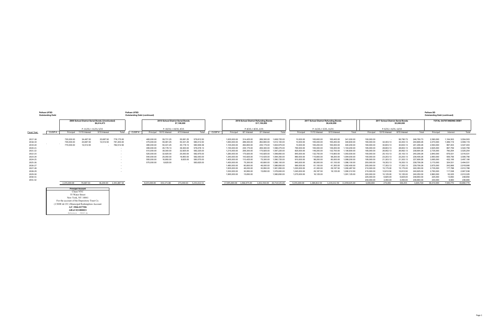# **Pelham UFSD Pelham SD**

|                        |                          | 2009 School District Serial Bonds (Unrefunded) |               |              |        |              |                                   |                          |            |        |                              |                        |                                                      |              |                              |                                      |                            |                              |                          |                                   |                        |                          |                        |                               |                        |
|------------------------|--------------------------|------------------------------------------------|---------------|--------------|--------|--------------|-----------------------------------|--------------------------|------------|--------|------------------------------|------------------------|------------------------------------------------------|--------------|------------------------------|--------------------------------------|----------------------------|------------------------------|--------------------------|-----------------------------------|------------------------|--------------------------|------------------------|-------------------------------|------------------------|
|                        |                          |                                                | \$6,614,473   |              |        |              | 2010 School District Serial Bonds | \$7,198,000              |            |        |                              |                        | 2016 School District Refunding Bonds<br>\$17,150,000 |              |                              | 2017 School District Refunding Bonds | \$9,430,000                |                              |                          | 2017 School District Serial Bonds | \$3,000,000            |                          |                        | <b>TOTAL OUTSTANDING DEBT</b> |                        |
|                        | P: 11/15: I: 11/15. 5/15 |                                                |               |              |        |              | P: 10/15: I: 10/15, 4/15          |                          |            |        |                              | P: 8/15: I: 8/15, 2/15 |                                                      |              |                              | P: 11/15: I: 5/15. 11/15             |                            |                              |                          | P: 6/15: I: 6/15, 12/15           |                        |                          |                        |                               |                        |
| CUSIP#<br>Fiscal Year: | Principal                | 11/15 Interest                                 | 5/15 Interest | Total        | CUSIP# |              | Principal 10/15 Interest          | 4/15 Interest            | Total      | CUSIP# | Principal                    | 8/1 Interest           | 2/1 Interest                                         | Total        | Principal                    | 11/15 Interest                       | 5/15 Interest              | Total                        | Principal                | 12/15 Interest                    | 6/15 Interest          | Total                    | Principal              | Interest                      | Total                  |
| 2017-18                | 720,000.00               | 34.487.50                                      | 23,687.50     | 778,175.00   |        | 465,000.00   | 59,731.25                         | 55,081.25                | 579,812.50 |        | 1.005.000.00                 | 314,425.00             | 289,300.00                                           | 1,608,725.00 | 10,000.00                    | 165,600.00                           | 165,400.00                 | 341,000.00                   | 190,000.00               |                                   | 56,790.73              | 246,790.73               | 2,390,000              | 1.164.503                     | 3.554.503              |
| 2018-19                | 745,000.00               | 23,687.50                                      | 12,512.50     | 781,200.00   |        | 475,000.00   | 55,081.25                         | 50,331.25                | 580,412.50 |        | 1,060,000.00                 | 289,300.00             | 262,800.00                                           | 1,612,100.00 | 10,000.00                    | 165,400.00                           | 165,200.00                 | 340,600.00                   | 180,000.00               | 32,403.13                         | 32,403.13              | 244,806.26               | 2,470,000              | 1,089,119                     | 3,559,119              |
| 2019-20                | 770,000.00               | 12,512.50                                      |               | 782,512.50   |        | 485,000.00   | 50,331.25                         | 45.178.13                | 580,509.38 |        | 1,105,000.00                 | 262,800.00             | 235.175.00                                           | 1,602,975.00 | 10,000.00                    | 165,200.00                           | 165,000.00                 | 340,200.00                   | 180,000.00               | 30,603.13                         | 30,603.13              | 241,206.26               | 2,550,000              | 997.403                       | 3,547,403              |
| 2020-21                |                          |                                                |               |              |        | 495,000.00   | 45,178.13                         | 39,300.00                | 579,478.13 |        | 1,155,000.00                 | 235,175.00             | 206.300.00                                           | 1,596,475.00 | 790,000.00                   | 165,000.00                           | 149,200.00                 | 1,104,200.00                 | 185,000.00               | 28,803.13                         | 28,803.13              | 242,606.26               | 2,625,000              | 897.759                       | 3,522,759              |
| 2021-22                |                          |                                                |               |              |        | 510,000.00   | 39,300.00                         | 32,925.00                | 582,225.00 |        | 1,215,000.00                 | 206,300.00             | 175,925.00                                           | 1,597,225.00 | 825,000.00                   | 149,200.00                           | 132,700.00                 | 1,106,900.00                 | 185,000.00               | 26,952.13                         | 26,952.13              | 238,904.26               | 2,735,000              | 790,254                       | 3,525,254              |
| 2022-23                |                          |                                                |               |              |        | 525,000.00   | 32,925.00                         | 25,050.00                | 582,975.00 |        | 1,280,000.00                 | 175,925.00             | 143,925.00                                           | 1,599,850.00 | 845,000.00                   | 132,700.00                           | 115,800.00                 | 1,093,500.00                 | 190,000.00               | 25,103.13                         | 25,103.13              | 240,206.26               | 2,840,000              | 676,531                       | 3,516,531              |
| 2023-24                |                          |                                                |               |              |        | 540,000.00   | 25,050.00                         | 16,950.00                | 582,000.00 |        | 1,340,000.00                 | 143,925.00             | 110,425.00                                           | 1,594,350.00 | 880,000.00                   | 115,800.00                           | 98,200.00                  | 1,094,000.00                 | 190,000.00               | 23,203.13                         | 23,203.13              | 236,406.26               | 2,950,000              | 556,756                       | 3,506,756              |
| 2024-25                |                          |                                                |               |              |        | 555,000.00   | 16,950.00                         | 8.625.00                 | 580,575.00 |        | 1,405,000.00                 | 110,425.00             | 75.300.00                                            | 1,590,725.00 | 910,000.00                   | 98,200.00                            | 80,000.00                  | 1,088,200.00                 | 195,000.00               | 21,303.13                         | 21,303.13              | 237,606.26               | 3,065,000              | 432,106                       | 3,497,106              |
| 2025-26                |                          |                                                |               |              |        | 575,000.00   | 8,625.00                          |                          | 583,625.00 |        | 1,450,000.00                 | 75,300.00              | 60,800.00                                            | 1,586,100.00 | 945,000.00                   | 80,000.00                            | 61,100.00                  | 1,086,100.00                 | 200,000.00               | 19,353.13                         | 19,353.13              | 238,706.26               | 3,170,000              | 324,531                       | 3,494,531              |
| 2026-27                |                          |                                                |               |              |        |              |                                   |                          |            |        | 1.480.000.00                 | 60,800.00              | 46,000.00                                            | 1.586.800.00 | 990,000.00                   | 61,100.00                            | 41.300.00                  | 1,092,400.00                 | 205,000.00               | 17,353.13                         | 17,353.13              | 239,706.26               | 2,675,000              | 243,906                       | 2,918,906              |
| 2027-28                |                          |                                                |               |              |        |              |                                   |                          |            |        | 1.505.000.00                 | 46,000.00              | 30.950.00<br>15,650.00                               | 1,581,950.00 | 1.020.000.00                 | 41,300.00                            | 29.187.50                  | 1,090,487.50                 | 210,000.00               | 15,175.00                         | 15.175.00              | 240,350.00               | 2,735,000              | 177.788                       | 2,912,788              |
| 2028-29<br>2029-30     |                          |                                                |               |              |        |              |                                   |                          |            |        | 1,530,000.00<br>1,565,000.00 | 30,950.00<br>15,650.00 |                                                      | 1,576,600.00 | 1,045,000.00<br>1,075,000.00 | 29,187.50<br>16,125.00               | 16,125.00                  | 1,090,312.50<br>1,091,125.00 | 215,000.00               | 12,812.50                         | 12,812.50<br>10,125.00 | 240,625.00               | 2,790,000<br>2,860,000 | 117,538                       | 2,907,538<br>2,912,025 |
| 2030-31                |                          |                                                |               |              |        |              |                                   |                          |            |        |                              |                        |                                                      | 1,580,650.00 |                              |                                      |                            |                              | 220,000.00<br>225,000.00 | 10,125.00<br>6,825.00             | 6,825.00               | 240,250.00<br>238,650.00 | 225,000                | 52,025<br>13,650              | 238,650                |
| 2031-32                |                          |                                                |               |              |        |              |                                   |                          |            |        |                              |                        |                                                      |              |                              |                                      |                            |                              | 230,000.00               | 3.450.00                          | 3.450.00               | 236,900.00               | 230,000                | 6.900                         | 236,900                |
|                        | 2.235.000.00             | 70.687.50                                      | 36,200,00     | 2.341.887.50 |        | 4.625.000.00 | 333.171.88                        | 273.440.63  5.231.612.51 |            |        | 17.095.000.00  1.966.975.00  |                        | 1.652.550.00 20.714.525.00                           |              | 9.355.000.00                 | 1.384.812.50                         | 1.219.212.50 11.959.025.00 |                              | 3.000.000                | 273.465                           | 330.255                | 3.603.720                | 36.310.000             | 7.540.770                     | 43.850.770             |

Reference - CUSIP #s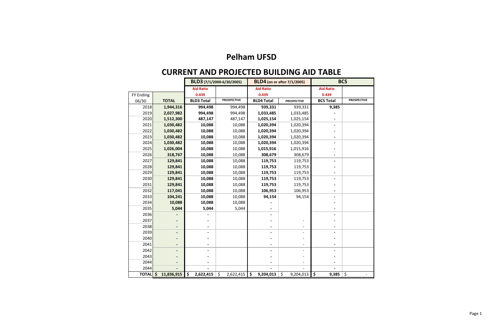# **CURRENT AND PROJECTED BUILDING AID TABLE**

|              |                  |                   | BLD3 (7/1/2000-6/30/2005) |                                  | <b>BLD4</b> (on or after 7/1/2005) |                                          | <b>BCS</b>         |
|--------------|------------------|-------------------|---------------------------|----------------------------------|------------------------------------|------------------------------------------|--------------------|
|              |                  | <b>Aid Ratio</b>  |                           | <b>Aid Ratio</b>                 |                                    | <b>Aid Ratio</b>                         |                    |
| FY Ending    |                  | 0.439             |                           | 0.439                            |                                    | 0.439                                    |                    |
| 06/30        | <b>TOTAL</b>     | <b>BLD3 Total</b> | <b>PROSPECTIVE</b>        | <b>BLD4 Total</b>                | <b>PROSPECTIVE</b>                 | <b>BCS Total</b>                         | <b>PROSPECTIVE</b> |
| 2018         | 1,944,316        | 994,498           | 994,498                   | 939,331                          | 939,331                            | 9,385                                    |                    |
| 2019         | 2,027,982        | 994,498           | 994,498                   | 1,033,485                        | 1,033,485                          |                                          |                    |
| 2020         | 1,512,300        | 487,147           | 487,147                   | 1,025,154                        | 1,025,154                          |                                          |                    |
| 2021         | 1,030,482        | 10,088            | 10,088                    | 1,020,394                        | 1,020,394                          |                                          |                    |
| 2022         | 1,030,482        | 10,088            | 10,088                    | 1,020,394                        | 1,020,394                          |                                          |                    |
| 2023         | 1,030,482        | 10,088            | 10,088                    | 1,020,394                        | 1,020,394                          |                                          |                    |
| 2024         | 1,030,482        | 10,088            | 10,088                    | 1,020,394                        | 1,020,394                          |                                          |                    |
| 2025         | 1,026,004        | 10,088            | 10,088                    | 1,015,916                        | 1,015,916                          |                                          |                    |
| 2026         | 318,767          | 10,088            | 10,088                    | 308,679                          | 308,679                            |                                          |                    |
| 2027         | 129,841          | 10,088            | 10,088                    | 119,753                          | 119,753                            |                                          |                    |
| 2028         | 129,841          | 10,088            | 10,088                    | 119,753                          | 119,753                            |                                          |                    |
| 2029         | 129,841          | 10,088            | 10,088                    | 119,753                          | 119,753                            |                                          |                    |
| 2030         | 129,841          | 10,088            | 10,088                    | 119,753                          | 119,753                            |                                          |                    |
| 2031         | 129,841          | 10,088            | 10,088                    | 119,753                          | 119,753                            |                                          |                    |
| 2032         | 117,041          | 10,088            | 10,088                    | 106,953                          | 106,953                            |                                          |                    |
| 2033         | 104,241          | 10,088            | 10,088                    | 94,154                           | 94,154                             |                                          |                    |
| 2034         | 10,088           | 10,088            | 10,088                    |                                  |                                    |                                          |                    |
| 2035         | 5,044            | 5,044             | 5,044                     |                                  |                                    |                                          |                    |
| 2036         |                  |                   |                           |                                  |                                    |                                          |                    |
| 2037         |                  |                   |                           |                                  |                                    |                                          |                    |
| 2038         |                  |                   |                           |                                  |                                    |                                          |                    |
| 2039         |                  |                   |                           |                                  | $\overline{a}$                     |                                          |                    |
| 2040         |                  |                   |                           |                                  |                                    |                                          |                    |
| 2041         |                  |                   |                           |                                  |                                    |                                          |                    |
| 2042         |                  |                   |                           |                                  |                                    |                                          |                    |
| 2043         |                  |                   |                           |                                  |                                    |                                          |                    |
| 2044         |                  |                   |                           |                                  |                                    |                                          |                    |
| 2044         |                  |                   |                           |                                  |                                    |                                          |                    |
| <b>TOTAL</b> | \$<br>11,836,915 | \$<br>2,622,415   | $\zeta$<br>2,622,415      | $\ddot{\bm{\zeta}}$<br>9,204,013 | $\zeta$<br>9,204,013               | $\overline{\boldsymbol{\zeta}}$<br>9,385 | \$                 |

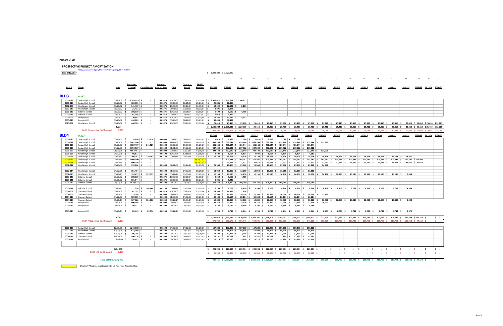#### **PROSPECTIVE PROJECT AMORTIZATION**

|                | http://www.nysed.gov/STATEAID/DIST/prosp/661601.htm |                 |                                |                                     |         |                    |           |               |                                                                         |                         |                                                                            |                 |            |                     |                                                                                                                                 |                                   |                     |                                |                       |                 |              |               |                                    |    |                                      |  |
|----------------|-----------------------------------------------------|-----------------|--------------------------------|-------------------------------------|---------|--------------------|-----------|---------------|-------------------------------------------------------------------------|-------------------------|----------------------------------------------------------------------------|-----------------|------------|---------------------|---------------------------------------------------------------------------------------------------------------------------------|-----------------------------------|---------------------|--------------------------------|-----------------------|-----------------|--------------|---------------|------------------------------------|----|--------------------------------------|--|
| Date-9/12/2017 |                                                     |                 |                                |                                     |         |                    |           |               | \$ 1,933,829 \$ 2,027,982                                               |                         |                                                                            |                 |            |                     |                                                                                                                                 |                                   |                     |                                |                       |                 |              |               |                                    |    |                                      |  |
|                |                                                     |                 |                                |                                     |         |                    |           |               |                                                                         |                         |                                                                            |                 |            |                     |                                                                                                                                 |                                   |                     |                                |                       |                 |              |               |                                    |    |                                      |  |
|                |                                                     |                 |                                |                                     |         |                    |           |               | 14                                                                      | 15                      | 16                                                                         | 17              | 18         | 19                  | 20                                                                                                                              | 21                                | 22                  | 23                             | 24                    | 25              | 26           | 27            | 28                                 | 29 | 30                                   |  |
|                |                                                     |                 |                                |                                     |         |                    |           |               |                                                                         |                         |                                                                            |                 |            |                     |                                                                                                                                 |                                   |                     |                                |                       |                 |              |               |                                    |    |                                      |  |
|                |                                                     |                 | Amortized                      |                                     | Assumed |                    | Contracts | SA-139        |                                                                         |                         |                                                                            |                 |            |                     |                                                                                                                                 |                                   |                     |                                |                       |                 |              |               |                                    |    |                                      |  |
| Proj.#         | Name                                                | Vote            | <b>Principal</b>               | <b>Capital Outlay</b> Interest Rate |         | CAD                | Signed    | Received      | 2017-18                                                                 | 2018-19                 | 2019-20                                                                    | 2020-21         | 2021-22    | 2022-23             | 2023-24                                                                                                                         | 2024-25                           | 2025-26             | 2026-27                        | 2027-28               | 2028-29         | 2029-30      | 2030-31       | 2031-32                            |    | 2032-33 2033-34 2034-35              |  |
|                |                                                     |                 |                                |                                     |         |                    |           |               |                                                                         |                         |                                                                            |                 |            |                     |                                                                                                                                 |                                   |                     |                                |                       |                 |              |               |                                    |    |                                      |  |
|                |                                                     |                 |                                |                                     |         |                    |           |               |                                                                         |                         |                                                                            |                 |            |                     |                                                                                                                                 |                                   |                     |                                |                       |                 |              |               |                                    |    |                                      |  |
| <b>BLD3</b>    | 0.397                                               |                 |                                |                                     |         |                    |           |               |                                                                         |                         |                                                                            |                 |            |                     |                                                                                                                                 |                                   |                     |                                |                       |                 |              |               |                                    |    |                                      |  |
|                |                                                     |                 |                                |                                     |         |                    |           |               |                                                                         |                         |                                                                            |                 |            |                     |                                                                                                                                 |                                   |                     |                                |                       |                 |              |               |                                    |    |                                      |  |
| 0001-018       | Senior High School                                  |                 | $03/20/02$ \$ 26,765,029 \$    |                                     |         | $0.03875$ 10/09/03 | 03/26/04  |               | $03/31/04$ \$ 2,369,622 \$ 2,369,622 \$ 1,184,811                       |                         |                                                                            |                 |            |                     |                                                                                                                                 |                                   |                     |                                |                       |                 |              |               |                                    |    |                                      |  |
| 0001-019       | Senior High School                                  | 03/20/02        | $303,673$ \$                   | $\sim$                              | 0.03875 | 05/28/03           | 07/21/03  | $09/23/03$ \$ | $26,886$ \$                                                             | 26,886                  |                                                                            |                 |            |                     |                                                                                                                                 |                                   |                     |                                |                       |                 |              |               |                                    |    |                                      |  |
| 0002-009       | Hutchinson School                                   | $03/20/02$ \$   | $141,437$ \$                   |                                     | 0.03875 | 10/09/03           | 03/26/04  | $03/31/04$ \$ |                                                                         | $12,522$ \$ $12,522$ \$ | 6,261                                                                      |                 |            |                     |                                                                                                                                 |                                   |                     |                                |                       |                 |              |               |                                    |    |                                      |  |
| 0002-010       | <b>Hutchinson School</b>                            | $03/20/02$ \$   | $21,412$ \$                    | $\sim$                              | 0.03875 | 05/28/03           | 07/21/03  | $09/23/03$ \$ | $1.896$ $\frac{1}{5}$                                                   | 1.896                   |                                                                            |                 |            |                     |                                                                                                                                 |                                   |                     |                                |                       |                 |              |               |                                    |    |                                      |  |
| 0003-010       | <b>Colonial School</b>                              | $03/20/02$ \$   | $108,330$ \$                   |                                     | 0.03875 | 10/09/03           | 03/26/04  | $03/31/04$ \$ | $9,590$ \$                                                              | $9,590$ \$              | 4.795                                                                      |                 |            |                     |                                                                                                                                 |                                   |                     |                                |                       |                 |              |               |                                    |    |                                      |  |
| 0003-011       | <b>Colonial School</b>                              | $03/20/02$ \$   | $101,944$ \$                   | $\sim$                              | 0.03875 | 05/28/03           | 07/21/03  | $09/23/03$ \$ | $9,026$ \$                                                              | 9,026                   |                                                                            |                 |            |                     |                                                                                                                                 |                                   |                     |                                |                       |                 |              |               |                                    |    |                                      |  |
| 0005-009       | Prospect Hill                                       | 03/20/02        | 130,863 \$                     |                                     | 0.03875 | 10/09/03           | 03/26/04  | $03/31/04$ \$ | 11,586 \$                                                               | 11,586 \$               | 5,793                                                                      |                 |            |                     |                                                                                                                                 |                                   |                     |                                |                       |                 |              |               |                                    |    |                                      |  |
| 0005-010       | Prospect Hill                                       | 03/20/02        | 434.783 \$                     |                                     | 0.03875 | 05/28/03           | 07/21/03  | 09/23/03      | 38.494 \$<br>s.                                                         | 38.494                  |                                                                            |                 |            |                     |                                                                                                                                 |                                   |                     |                                |                       |                 |              |               |                                    |    |                                      |  |
| 0015-001       | <b>Hutchinson School</b>                            | 03/20/02        | 448,389 \$                     |                                     | 0.03875 | 10/09/03           | 03/26/04  | 03/31/04      | s.                                                                      |                         | 25,410 \$ 25,410 \$ 25,410 \$ 25,410 \$ 25,410 \$ 25,410 \$                |                 |            |                     | 25.410 \$                                                                                                                       |                                   | 25.410 \$ 25.410 \$ |                                | 25.410 \$ 25.410 \$   | 25.410 \$       | 25.410 \$    | 25.410 \$     |                                    |    | 25.410 \$ 25.410 \$ 25.410 \$12.705  |  |
|                |                                                     | BLD3            |                                |                                     |         |                    |           |               | \$ 2,505,032 \$ 2,505,032 \$ 1,227,070 \$ 25,410 \$ 25,410 \$ 25,410 \$ |                         |                                                                            |                 |            |                     | 25,410 \$                                                                                                                       |                                   | 25,410 \$ 25,410 \$ | 25,410 \$                      | 25,410 \$             | 25,410 \$       | 25,410 \$    | 25,410 \$     |                                    |    | 25,410 \$ 25,410 \$ 25,410 \$ 12,705 |  |
|                |                                                     | 0.397           |                                |                                     |         |                    |           |               |                                                                         |                         |                                                                            |                 |            |                     |                                                                                                                                 |                                   |                     |                                |                       |                 |              |               |                                    |    |                                      |  |
|                | <b>BLD3 Prospective Building Aid</b>                |                 |                                |                                     |         |                    |           |               |                                                                         |                         | 994.498 \$ 994.498 \$ 487.147 \$                                           | 10.088 \$       | 10.088 \$  | 10.088 \$           | 10.088                                                                                                                          | 10.088                            | 10.088              | 10.088<br>$\ddot{\phantom{1}}$ | 10.088 \$             | 10.088          | 10.088       | 10.088        |                                    |    | 10.088 \$ 10.088 \$ 10.088 \$ 5.044  |  |
| <b>BLD4</b>    | 0.397                                               |                 |                                |                                     |         |                    |           |               | 2017-18                                                                 | 2018-19                 | 2019-20                                                                    | 2020-21         | 2021-22    | 2022-23             | 2023-24                                                                                                                         | 2024-25                           | 2025-26             | 2026-27                        | 2027-28               | 2028-29         | 2029-30      | 2030-31       | 2031-32                            |    | 2032-33 2033-34 2034-35              |  |
| 0001-020       | Senior High School                                  | 05/16/06        | 78,706                         | 75,650                              | 0.04000 | 06/21/06           | 07/28/06  | $12/01/09$ \$ | 7,028                                                                   | 7,028 \$                | 7,028 \$                                                                   | 7,028 \$        | 7,028 \$   | 7,028 \$            | 7.028                                                                                                                           |                                   |                     |                                |                       |                 |              |               |                                    |    |                                      |  |
| 0001-022       | Senior High School                                  |                 | $05/20/08$ \$ 7,682,004 \$     | $\sim$                              | 0.03000 | 12/14/09           | 02/22/10  | $04/19/10$ \$ | 639.744 \$                                                              |                         | $639.744$ $\pm$ 639.744 $\pm$                                              | 639.744 S       | 639.744 \$ | 639.744 S           |                                                                                                                                 | $639,744$ \$ $639,744$ \$ 319,872 |                     |                                |                       |                 |              |               |                                    |    |                                      |  |
| 0001-025       | Senior High School                                  |                 | $05/20/08$   \$ 5,582,497   \$ | 841,527                             | 0.03500 | 03/27/09           | 05/05/09  | $09/25/09$ \$ | 481.544 S                                                               |                         | $481.544$   \$ $481.544$   \$ $481.544$   \$ $481.544$   \$ $481.544$   \$ |                 |            |                     |                                                                                                                                 | 481.544 \$481.544                 |                     |                                |                       |                 |              |               |                                    |    |                                      |  |
| 0001-026       | Senior High School                                  |                 | $04/22/08$ \$ 2,753,567 \$     | $\sim$                              | 0.03500 | 01/01/09           | 04/02/09  | $09/25/09$ \$ |                                                                         |                         |                                                                            |                 |            |                     | 237,522 \$ 237,522 \$ 237,522 \$ 237,522 \$ 237,522 \$ 237,522 \$ 237,522 \$ 237,522                                            |                                   |                     |                                |                       |                 |              |               |                                    |    |                                      |  |
| 0001-027       | Senior High School                                  |                 | $05/20/08$ \$ 2,667,451 \$     | $\sim$                              | 0.03000 | 07/21/09           | 02/22/10  | $04/19/10$ \$ |                                                                         |                         |                                                                            |                 |            |                     | $222,140$ \$ 222,140 \$ 222,140 \$ 222,140 \$ 222,140 \$ 222,140 \$ 222,140 \$ 222,140 \$ 222,140                               |                                   | 111,070             |                                |                       |                 |              |               |                                    |    |                                      |  |
| 0001-029       | Senior High School                                  | $04/22/08$ \$   | $98.577$ \$                    | $\sim$                              | 0.03500 | 10/02/08           | 12/16/08  | $02/16/10$ \$ | $8.504$ S                                                               | $8.504$ $\pm$           | $8.504$ $\pm$                                                              | $8.504$ $\pm$   | 8.504      | $8.504$ $\pm$<br>١s | $8.504$ $\pm$                                                                                                                   | 4.252                             |                     |                                |                       |                 |              |               |                                    |    |                                      |  |
| 0001-031       | Senior High School                                  | $05/21/13$ \$   | $364,347$ \$                   | 356,285                             |         | $0.02250$ 05/12/14 | 06/30/14  | $03/29/16$ \$ |                                                                         |                         |                                                                            |                 |            |                     | $28,754$ \$ 28,754 \$ 28,754 \$ 28,754 \$ 28,754 \$ 28,754 \$ 28,754 \$ 28,754 \$                                               |                                   | 28,754 \$           | 28.754                         | $28.754$ \$           | $28,754$ \$     | $28.754$ \$  | $28.754$ \$   | 14.377                             |    |                                      |  |
| 0001-033       | Senior High School                                  | $05/17/16$ \$   | 2,600,000 \$                   | $\sim$                              | $\sim$  |                    |           | By 10/15/17   |                                                                         |                         |                                                                            |                 |            |                     | $ \;$ \$ 205,541 $ \;$ \$ 205,541 $ \;$ \$ 205,541 $ \;$ \$ 205,541 $ \;$ \$ 205,541 $ \;$ \$ 205,541 $ \;$ \$ 205,541 $ \;$ \$ |                                   | 205,541 \$          | 205,541 \$                     | 205,541 \$            | 205,541 \$      | $205,541$ \$ |               | 205,541   \$205,541   \$205,541    |    |                                      |  |
| 0001-034       | Senior High School                                  | $05/17/16$ \$   | $400.000$ S                    | $\sim$                              | $\sim$  |                    |           | By 10/15/17   |                                                                         |                         |                                                                            |                 | $31.622$ S | 31.622 S            | $31.622$ \$                                                                                                                     | $31.622$ S                        | 31.622 S            | $31.622$ \$                    | $31.622$ \$           | $31.622$ S      | $31.622$ S   |               | $31.622$   \$ $31.622$   \$ 31.622 |    |                                      |  |
| 0002-012       | <b>Hutchinson School</b>                            | $05/20/08$ \$   | 359,762 \$                     | $\sim$ $-$                          |         | $0.03000$ 07/21/09 | 04/27/10  | $09/17/10$ \$ |                                                                         |                         |                                                                            |                 |            |                     | 29,960 \$ 29,960 \$ 29,960 \$ 29,960 \$ 29,960 \$ 29,960 \$ 29,960 \$                                                           | 29,960 \$                         | 14.980              |                                |                       |                 |              |               |                                    |    |                                      |  |
|                |                                                     |                 |                                |                                     |         |                    |           |               |                                                                         |                         |                                                                            |                 |            |                     |                                                                                                                                 |                                   |                     |                                |                       |                 |              |               |                                    |    |                                      |  |
|                |                                                     |                 | $151,404$ \$                   | $\sim$                              |         |                    |           | $09/25/09$ \$ |                                                                         |                         |                                                                            |                 |            |                     | $13,060$ \$ $13,060$ \$ $13,060$ \$ $13,060$ \$ $13,060$ \$ $13,060$ \$ $13,060$ \$ $13,060$ \$ $13,060$                        |                                   |                     |                                |                       |                 |              |               |                                    |    |                                      |  |
| 0002-014       | <b>Hutchinson School</b>                            | $04/22/08$ \$   |                                |                                     |         | $0.03500$ 01/09/09 | 04/02/09  |               |                                                                         |                         |                                                                            |                 |            |                     |                                                                                                                                 |                                   |                     |                                |                       |                 |              |               |                                    |    |                                      |  |
| 0002-015       | Hutchinson School                                   | $05/21/13$ \$   | $128,433$ \$                   | 125,591                             | 0.02250 | 05/12/14           | 06/30/14  | $03/29/16$ \$ | $10,136$ \$                                                             |                         |                                                                            |                 |            |                     | $10,136 \mid \xi$ $10,136 \mid \xi$ $10,136 \mid \xi$ $10,136 \mid \xi$ $10,136 \mid \xi$ $10,136 \mid \xi$ $10,136 \mid \xi$   |                                   | $10,136$ \$         | $10,136$ \$                    | $10,136$ \$           | $10,136$ \$     | $10,136$ \$  |               | $10.136$ $\pm$ 5.068               |    |                                      |  |
| 0003-010       | <b>Colonial School</b>                              | $03/20/02$   \$ | $108,330$ \$                   | $\sim$                              | 0.03875 | 10/09/03           | 03/26/04  | $03/31/04$ \$ | $9.560$ $\pm$                                                           |                         | $9.560 \, \text{S}$ 4.795                                                  |                 |            |                     |                                                                                                                                 |                                   |                     |                                |                       |                 |              |               |                                    |    |                                      |  |
| 0003-011       | <b>Colonial School</b>                              | $03/20/02$ \$   | $101,944$ \$                   | $\sim$                              | 0.03875 | 05/28/03           | 07/21/03  | $09/23/03$ \$ | $9,026$ \$                                                              | 9.026                   |                                                                            |                 |            |                     |                                                                                                                                 |                                   |                     |                                |                       |                 |              |               |                                    |    |                                      |  |
| 0003-012       | <b>Colonial School</b>                              |                 | $05/22/08$ \$ 3,579,423 \$     | $\sim$                              | 0.03500 | 06/09/09           | 09/04/09  | $09/25/09$ \$ |                                                                         |                         |                                                                            |                 |            |                     | 308,760 S 308,760 S 308,760 S 308,760 S 308,760 S 308,760 S 308,760 S 308,760 S                                                 |                                   |                     |                                |                       |                 |              |               |                                    |    |                                      |  |
|                |                                                     |                 |                                |                                     |         |                    |           |               |                                                                         |                         |                                                                            |                 |            |                     |                                                                                                                                 |                                   |                     |                                |                       |                 |              |               |                                    |    |                                      |  |
| 0003-014       | Colonial School                                     | $05/21/13$ \$   | $111.098$ \$                   | 108.640                             | 0.02250 | 05/12/14           | 06/30/14  | $03/29/16$ \$ | $8.768$ S                                                               | $8.768$ S               | $8.768$ \$                                                                 | 8.768 \$        | $8.768$ S  | 8.768 \$            | $8.768$ S                                                                                                                       | $8.768$ S                         | 8.768 \$            | 8.768 \$                       | $8.768$ S             | 8.768 \$        | $8.768$ S    | $8.768$ S     | 4.384                              |    |                                      |  |
| 0004-008       | Siwanoy School                                      | $03/20/02$ \$   | $162,522$ \$                   | $\sim$                              | 0.03875 | 10/09/03           | 03/26/04  | $03/31/04$ \$ | $14.388$ $\pm$                                                          | $14,388$ \$             | 7,194                                                                      |                 |            |                     |                                                                                                                                 |                                   |                     |                                |                       |                 |              |               |                                    |    |                                      |  |
| 0004-009       | Siwanoy School                                      | 05/20/08 \$     | 319,388 \$                     |                                     | 0.03000 | 07/21/09           | 04/27/10  | 09/17/10 \$   | 26,598 \$                                                               | 26,598 \$               | 26,598 \$                                                                  | 26,598 \$       | 26,598 \$  | 26,598 \$           | 26,598 \$                                                                                                                       | 26,598 \$                         | 13,299              |                                |                       |                 |              |               |                                    |    |                                      |  |
| 0004-010       | Siwanov School                                      | $04/22/08$ \$   | $929.565$ \$                   | $\sim$                              | 0.03500 | 01/09/09           | 04/02/09  | $09/25/09$ \$ | $80.184$ \$                                                             | $80.184$ \$             | $80.184$ \$                                                                | $80.184$ \$     | 80.184     | $80.184$ \$         | $80.184$ \$                                                                                                                     | 80.184                            |                     |                                |                       |                 |              |               |                                    |    |                                      |  |
| 0004-013       | Siwanoy School                                      | $05/21/13$ \$   | 127,726 \$                     | 124,900                             | 0.02250 | 05/12/14           | 06/30/14  | 03/29/16      | 10.080<br>- S                                                           | 10.080                  | 10.080                                                                     | 10.080          | 10.080     | 10.080              | 10.080                                                                                                                          | 10.080                            | 10,080              | 10.080 \$                      | 10.080 \$             | 10.080 \$       | 10.080 \$    | 10.080 \$     | 5.040                              |    |                                      |  |
| 0005-011       | Prospect Hill                                       | 05/20/08        | 400,168 \$<br>- S              |                                     | 0.03000 | 07/21/09           | 04/27/10  | 09/17/10      | $33,326$ \$<br>s.                                                       | $33,326$ \$             | 33,326 \$                                                                  | 33,326 \$       | 33,326 \$  | 33,326 \$           | $33,326$ \$                                                                                                                     | $33,326$ \$                       | 16,663              |                                |                       |                 |              |               |                                    |    |                                      |  |
| 0005-013       | Prospect Hill                                       | 04/22/08        | 94.911 \$                      |                                     | 0.03500 | 01/09/09           | 04/02/09  | 09/25/09      | 8.186<br>s.                                                             | 8.186                   | 8.186                                                                      | 8.186           | 8.186      | 8.186               | 8.186                                                                                                                           | 8.186                             |                     |                                |                       |                 |              |               |                                    |    |                                      |  |
| 0005-015       | Prospect Hill                                       | 05/21/13        | 85.445 \$                      | 83.554                              | 0.02250 | 05/12/14           | 06/30/14  | 03/29/16      | $6.744 \quad S$<br>s.                                                   | $6.744 \quad S$         | 6,744 \$                                                                   | $6.744 \quad S$ | 6.744 \$   | $6.744 \quad S$     | 6.744                                                                                                                           | $6.744$ \$<br>- S                 | $6.744 \quad S$     | 6.744                          | $6.744 \quad S$<br>s. | $6.744 \quad S$ | 6.744        | 6.744 S<br>s. | 3.372                              |    |                                      |  |
|                |                                                     |                 |                                |                                     |         |                    |           |               |                                                                         |                         |                                                                            |                 |            |                     |                                                                                                                                 |                                   |                     |                                |                       |                 |              |               |                                    |    |                                      |  |

#### **\$ 965,176 \$ 956,845 \$ 952,086 \$ 952,086 \$ 952,086 \$ 952,086 \$ 947,608 \$ 308,679 \$ 119,753 \$ 119,753 \$**

|          |                                      | BLD4            |                |         |                      |          |               |             |             |                       |           |              | \$   2,194,012   \$  2,431,175   \$  2,410,190   \$  2,398,201   \$  2,398,201   \$  2,398,201   \$   2,386,921   \$ |             |            |                                                                                                                                                        | 777,529 \$ 301,645 \$ 301,645 \$                                                                                |                          | 301,645 \$ | 301,645 \$ | 301,645 \$ 269,404 \$237,163 \$ - \$ -                                               |     |
|----------|--------------------------------------|-----------------|----------------|---------|----------------------|----------|---------------|-------------|-------------|-----------------------|-----------|--------------|----------------------------------------------------------------------------------------------------------------------|-------------|------------|--------------------------------------------------------------------------------------------------------------------------------------------------------|-----------------------------------------------------------------------------------------------------------------|--------------------------|------------|------------|--------------------------------------------------------------------------------------|-----|
|          | <b>BLD4 Prospective Building Aid</b> | 0.397           |                |         |                      |          |               |             |             |                       |           |              |                                                                                                                      |             |            | 871,023 \$ 965,176 \$ 956,845 \$ 952,086 \$ 952,086 \$ 952,086 \$ 952,086 \$ 947,608 \$ 308,679 \$ 119,753 \$ 119,753 \$ 119,753 \$ 119,753 \$ 119,753 |                                                                                                                 |                          |            |            | $119.753 \quad S \quad 106.953 \quad S \quad 94.154 \quad S \quad - \quad S \quad -$ |     |
|          |                                      |                 |                |         |                      |          |               |             |             |                       |           |              |                                                                                                                      |             |            |                                                                                                                                                        |                                                                                                                 |                          |            |            |                                                                                      |     |
| 0001-028 | Senior High School                   | 12/09/08        | $1,243,778$ \$ | 0.03500 | 04/02/09             | 04/22/09 | 09/25/09      | 107,288     | 107,288     | 107,288               | 107,288   | $107,288$ \$ | 107,288                                                                                                              | 107,288     | 107,288    |                                                                                                                                                        |                                                                                                                 |                          |            |            |                                                                                      |     |
| 0002-013 | Hutchinson School                    | $12/09/08$ \$   | 677,069 \$     |         | $0.03500$ 04/02/09   | 04/22/09 | $09/25/09$ \$ | $58,404$ \$ | 58,404 \$   | 58,404 \$             | 58,404    | $58,404$ \$  | 58,404                                                                                                               | 58,404      | 58,404     |                                                                                                                                                        |                                                                                                                 |                          |            |            |                                                                                      |     |
| 0003-013 | Colonial School                      | 12/09/08        | $206,288$ \$   |         | $0.03500$   04/02/09 | 04/22/09 | $09/25/09$ \$ | 17,794      | 17,794      | 17,794                | 17,794    | $17,794$ \$  | 17,794                                                                                                               | $17,794$ \$ | 17,794     |                                                                                                                                                        |                                                                                                                 |                          |            |            |                                                                                      |     |
| 0004-011 | Siwanoy School                       | 12/09/08        | $200,354$ \$   | 0.03500 | 04/02/09             | 04/22/09 | 09/25/09      | 17,282      | 17.282      | 17,282                | 17,282    | 17,282       | 17,282                                                                                                               | 17,282      | 17,282     |                                                                                                                                                        |                                                                                                                 |                          |            |            |                                                                                      |     |
| 0005-014 | Prospect Hill                        | 12/09/008       | 338,823 \$     | 0.03500 | 04/02/09             | 04/22/09 | 09/25/09      | 29,226      | 29,226 \$   | 29,226                | 29,226    | 29,226       | 29,226                                                                                                               | 29,226      | 29,226     |                                                                                                                                                        |                                                                                                                 |                          |            |            |                                                                                      |     |
|          |                                      |                 |                |         |                      |          |               |             |             |                       |           |              |                                                                                                                      |             |            |                                                                                                                                                        |                                                                                                                 |                          |            |            |                                                                                      |     |
|          |                                      |                 |                |         |                      |          |               |             |             |                       |           |              |                                                                                                                      |             |            |                                                                                                                                                        |                                                                                                                 |                          |            |            |                                                                                      |     |
|          |                                      | <b>BLD4 EPC</b> |                |         |                      |          |               | 229,994     |             | 229,994 \$ 229,994 \$ | 229,994   | 229,994 \$   | 229,994                                                                                                              | 229,994     | 229,994 \$ |                                                                                                                                                        | <b>Contract Contract Contract</b>                                                                               | <b>Contract Contract</b> |            |            |                                                                                      |     |
|          | <b>BLD4 EPC Building Aid</b>         | 0.297           |                |         |                      |          |               | 68,308      | 68,308 \$   | 68,308 \$             | 68,308    | 68,308       | 68,308                                                                                                               | 68,308      | 68,308 5   |                                                                                                                                                        | and the state of the state of the state of the state of the state of the state of the state of the state of the |                          |            |            |                                                                                      |     |
|          |                                      |                 |                |         |                      |          |               |             |             |                       |           |              |                                                                                                                      |             |            |                                                                                                                                                        |                                                                                                                 |                          |            |            |                                                                                      |     |
|          | <b>Total BLD4 Building Aid</b>       |                 |                |         |                      |          |               | 939.331     | \$1.033.485 | \$1.025.154           | 1.020.394 |              |                                                                                                                      | 1.020.3     |            |                                                                                                                                                        |                                                                                                                 |                          |            |            |                                                                                      | . . |

**Election Chapter 97 Project, no aid received until Final Cost Report is filed.**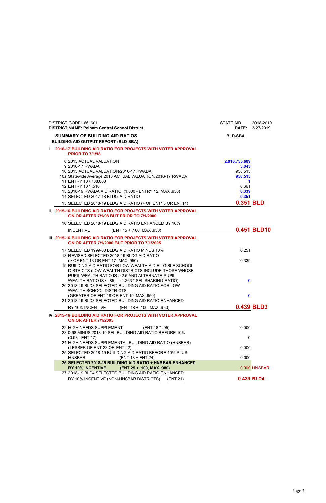| DISTRICT CODE: 661601<br><b>DISTRICT NAME: Pelham Central School District</b>                                                                                                                                                                                                                                                                                 | STATE AID<br><b>DATE:</b>                                                                 | 2018-2019<br>3/27/2019 |
|---------------------------------------------------------------------------------------------------------------------------------------------------------------------------------------------------------------------------------------------------------------------------------------------------------------------------------------------------------------|-------------------------------------------------------------------------------------------|------------------------|
| <b>SUMMARY OF BUILDING AID RATIOS</b><br><b>BUILDING AID OUTPUT REPORT (BLD-SBA)</b>                                                                                                                                                                                                                                                                          | <b>BLD-SBA</b>                                                                            |                        |
| 1. 2016-17 BUILDING AID RATIO FOR PROJECTS WITH VOTER APPROVAL<br><b>PRIOR TO 7/1/98</b>                                                                                                                                                                                                                                                                      |                                                                                           |                        |
| 8 2015 ACTUAL VALUATION<br>9 2016-17 RWADA<br>10 2015 ACTUAL VALUATION/2016-17 RWADA<br>10a Statewide Average 2015 ACTUAL VALUATION/2016-17 RWADA<br>11 ENTRY 10 / 738,000<br>12 ENTRY 10 * .510<br>13 2018-19 RWADA AID RATIO (1.000 - ENTRY 12, MAX .950)<br>14 SELECTED 2017-18 BLDG AID RATIO<br>15 SELECTED 2018-19 BLDG AID RATIO (> OF ENT13 OR ENT14) | 2,916,755,689<br>3,043<br>958,513<br>958,513<br>1<br>0.661<br>0.339<br>0.351<br>0.351 BLD |                        |
| II. 2015-16 BUILDING AID RATIO FOR PROJECTS WITH VOTER APPROVAL<br><b>ON OR AFTER 7/1/98 BUT PRIOR TO 7/1/2000</b>                                                                                                                                                                                                                                            |                                                                                           |                        |
| 16 SELECTED 2018-19 BLDG AID RATIO ENHANCED BY 10%<br><b>INCENTIVE</b><br>(ENT 15 + .100, MAX .950)                                                                                                                                                                                                                                                           |                                                                                           | 0.451 BLD10            |
| III. 2015-16 BUILDING AID RATIO FOR PROJECTS WITH VOTER APPROVAL<br>ON OR AFTER 7/1/2000 BUT PRIOR TO 7/1/2005                                                                                                                                                                                                                                                |                                                                                           |                        |
| 17 SELECTED 1999-00 BLDG AID RATIO MINUS 10%<br>18 REVISED SELECTED 2018-19 BLDG AID RATIO<br>(> OF ENT 13 OR ENT 17, MAX .950)<br>19 BUILDING AID RATIO FOR LOW WEALTH AID ELIGIBLE SCHOOL<br>DISTRICTS (LOW WEALTH DISTRICTS INCLUDE THOSE WHOSE                                                                                                            | 0.251<br>0.339                                                                            |                        |
| PUPIL WEALTH RATIO IS > 2.5 AND ALTERNATE PUPIL<br>WEALTH RATIO IS < .85) (1.263 * SEL SHARING RATIO)<br>20 2018-19 BLD3 SELECTED BUILDING AID RATIO FOR LOW<br><b>WEALTH SCHOOL DISTRICTS</b>                                                                                                                                                                | $\bf{0}$                                                                                  |                        |
| (GREATER OF ENT 18 OR ENT 19, MAX .950)<br>21 2018-19 BLD3 SELECTED BUILDING AID RATIO ENHANCED                                                                                                                                                                                                                                                               | $\bf{0}$                                                                                  |                        |
| BY 10% INCENTIVE<br>(ENT 18 + .100, MAX .950)                                                                                                                                                                                                                                                                                                                 |                                                                                           | 0.439 BLD3             |
| IV. 2015-16 BUILDING AID RATIO FOR PROJECTS WITH VOTER APPROVAL<br><b>ON OR AFTER 7/1/2005</b>                                                                                                                                                                                                                                                                |                                                                                           |                        |
| 22 HIGH NEEDS SUPPLEMENT<br>(ENT 18 * .05)<br>23 0.98 MINUS 2018-19 SEL BUILDING AID RATIO BEFORE 10%                                                                                                                                                                                                                                                         | 0.000                                                                                     |                        |
| $(0.98 - ENT 17)$                                                                                                                                                                                                                                                                                                                                             | 0                                                                                         |                        |
| 24 HIGH NEEDS SUPPLEMENTAL BUILDING AID RATIO (HNSBAR)<br>(LESSER OF ENT 23 OR ENT 22)<br>25 SELECTED 2018-19 BUILDING AID RATIO BEFORE 10% PLUS                                                                                                                                                                                                              | 0.000                                                                                     |                        |
| (ENT 18 + ENT 24)<br><b>HNSBAR</b><br>26 SELECTED 2018-19 BUILDING AID RATIO + HNSBAR ENHANCED                                                                                                                                                                                                                                                                | 0.000                                                                                     |                        |

**BY 10% INCENTIVE (ENT 25 + .100, MAX .980)** 0.000 HNSBAR 27 2018-19 BLD4 SELECTED BUILDING AID RATIO ENHANCED BY 10% INCENTIVE (NON-HNSBAR DISTRICTS) (ENT 21) **0.439 BLD4**